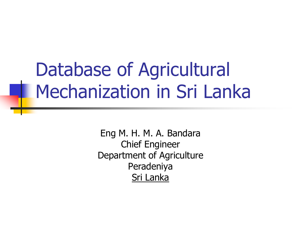## Database of Agricultural Mechanization in Sri Lanka

Eng M. H. M. A. Bandara Chief Engineer Department of Agriculture Peradeniya Sri Lanka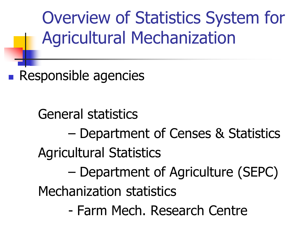Overview of Statistics System for Agricultural Mechanization

**Responsible agencies** 

General statistics – Department of Censes & Statistics Agricultural Statistics – Department of Agriculture (SEPC) Mechanization statistics - Farm Mech. Research Centre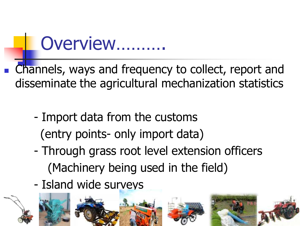#### Overview……….

- Channels, ways and frequency to collect, report and disseminate the agricultural mechanization statistics
	- Import data from the customs (entry points- only import data)
	- Through grass root level extension officers (Machinery being used in the field)
	- Island wide surveys

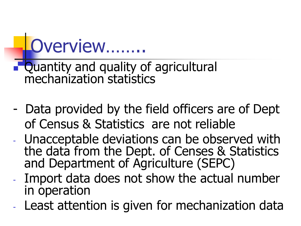

- **Quantity and quality of agricultural** mechanization statistics
- Data provided by the field officers are of Dept of Census & Statistics are not reliable
- Unacceptable deviations can be observed with the data from the Dept. of Censes & Statistics and Department of Agriculture (SEPC)
- Import data does not show the actual number in operation
- Least attention is given for mechanization data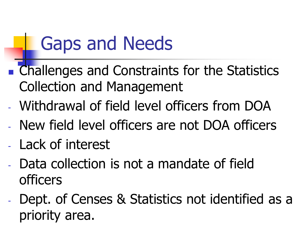## Gaps and Needs

- **Example 1** Challenges and Constraints for the Statistics Collection and Management
- Withdrawal of field level officers from DOA
- New field level officers are not DOA officers
- Lack of interest
- Data collection is not a mandate of field officers
- Dept. of Censes & Statistics not identified as a priority area.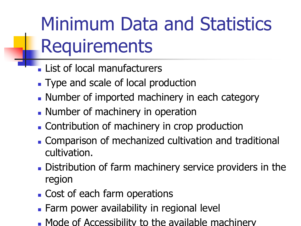## Minimum Data and Statistics **Requirements**

- **List of local manufacturers**
- Type and scale of local production
- **Number of imported machinery in each category**
- **Number of machinery in operation**
- **Contribution of machinery in crop production**
- Comparison of mechanized cultivation and traditional cultivation.
- Distribution of farm machinery service providers in the region
- Cost of each farm operations
- **Farm power availability in regional level**
- Mode of Accessibility to the available machinery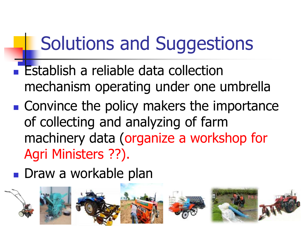## Solutions and Suggestions

- **Establish a reliable data collection** mechanism operating under one umbrella
- Convince the policy makers the importance of collecting and analyzing of farm machinery data (organize a workshop for Agri Ministers ??).

**Draw a workable plan** 

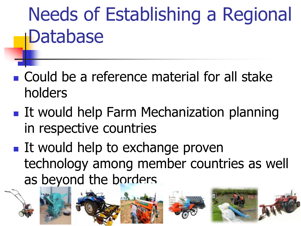# Needs of Establishing a Regional Database

- **Could be a reference material for all stake** holders
- **If would help Farm Mechanization planning** in respective countries
- **If would help to exchange proven** technology among member countries as well as beyond the borders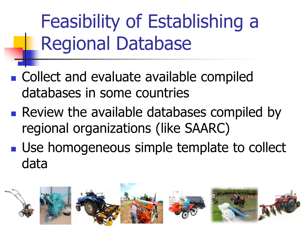Feasibility of Establishing a Regional Database

- Collect and evaluate available compiled databases in some countries
- **Review the available databases compiled by** regional organizations (like SAARC)
- **Use homogeneous simple template to collect** data

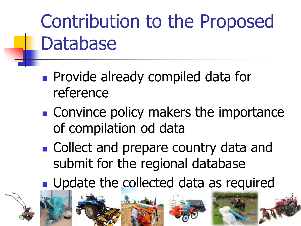# Contribution to the Proposed **Database**

- **Provide already compiled data for** reference
- **Convince policy makers the importance** of compilation od data
- Collect and prepare country data and submit for the regional database
- **Update the collected data as required**

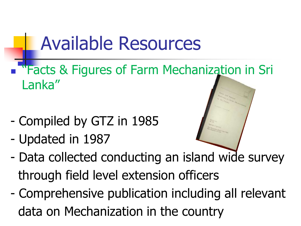## Available Resources

- **Tracts & Figures of Farm Mechanization in Sri** Lanka"
- Compiled by GTZ in 1985
- Updated in 1987



- Data collected conducting an island wide survey through field level extension officers
- Comprehensive publication including all relevant data on Mechanization in the country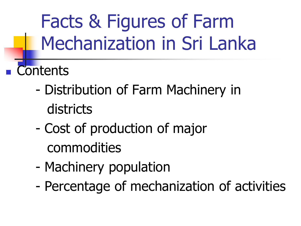Facts & Figures of Farm Mechanization in Sri Lanka

- **Contents** 
	- Distribution of Farm Machinery in districts
	- Cost of production of major commodities
	- Machinery population
	- Percentage of mechanization of activities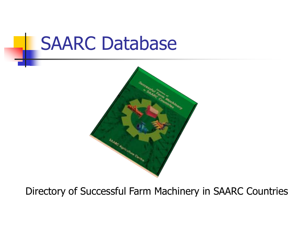#### SAARC Database



Directory of Successful Farm Machinery in SAARC Countries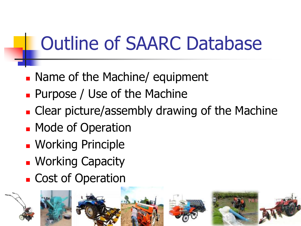## Outline of SAARC Database

- **Name of the Machine/ equipment**
- **Purpose / Use of the Machine**
- **Clear picture/assembly drawing of the Machine**
- **Node of Operation**
- **Working Principle**
- **Norking Capacity**
- **Cost of Operation**

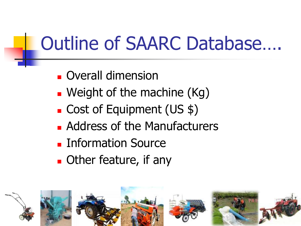## Outline of SAARC Database….

- **D** Overall dimension
- **Neight of the machine (Kg)**
- Cost of Equipment (US \$)
- **Address of the Manufacturers**
- **Information Source**
- **Deta** Other feature, if any

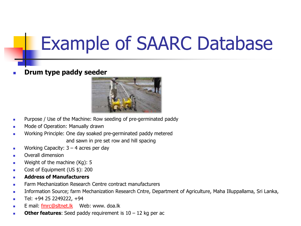## Example of SAARC Database

**Drum type paddy seeder**



- **Purpose / Use of the Machine: Row seeding of pre-germinated paddy**
- **Node of Operation: Manually drawn**
- Working Principle: One day soaked pre-germinated paddy metered and sawn in pre set row and hill spacing
- **Working Capacity:**  $3 4$  **acres per day**
- **D** Overall dimension
- **Weight of the machine (Kg): 5**
- Cost of Equipment (US \$): 200
- **Address of Manufacturers**
- **EXECO** Farm Mechanization Research Centre contract manufacturers
- **Information Source; farm Mechanization Research Cntre, Department of Agriculture, Maha Illuppallama, Sri Lanka,**
- $\blacksquare$  Tel: +94 25 2249222, +94
- **E** mail: [fmrc@sltnet.lk](mailto:fmrc@sltnet.lk) Web: www. doa.lk
- **Other features:** Seed paddy requirement is 10 12 kg per ac